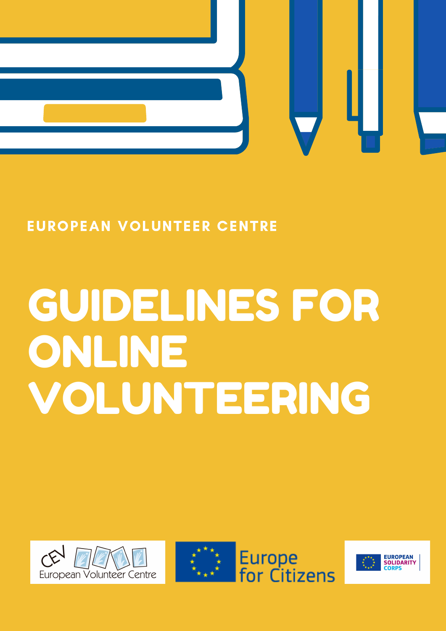

#### EUROPEAN VOLUNTEER CENTRE

# GUIDELINES FOR ONLINE VOLUNTEERING





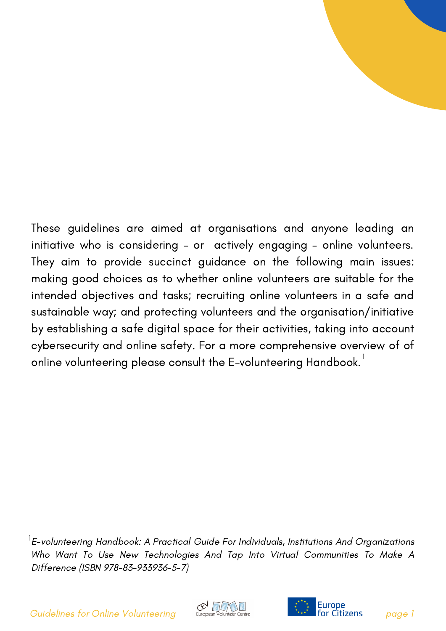These guidelines are aimed at organisations and anyone leading an initiative who is considering – or actively engaging – online volunteers. They aim to provide succinct guidance on the following main issues: making good choices as to whether online volunteers are suitable for the intended objectives and tasks; recruiting online volunteers in a safe and sustainable way; and protecting volunteers and the organisation/initiative by establishing a safe digital space for their activities, taking into account cybersecurity and online safety. For a more comprehensive overview of of online volunteering please consult the E-volunteering Handbook. $^{\rm l}$ 

 $^{\textsf{1}}$ E-volunteering Handbook: A Practical Guide For Individuals, Institutions And Organizations Who Want To Use New Technologies And Tap Into Virtual Communities To Make A Difference (ISBN 978-83-933936-5-7)

Guidelines for Online Volunteering European Volunteer Centre **1996 1996** The **Citizens** page 1



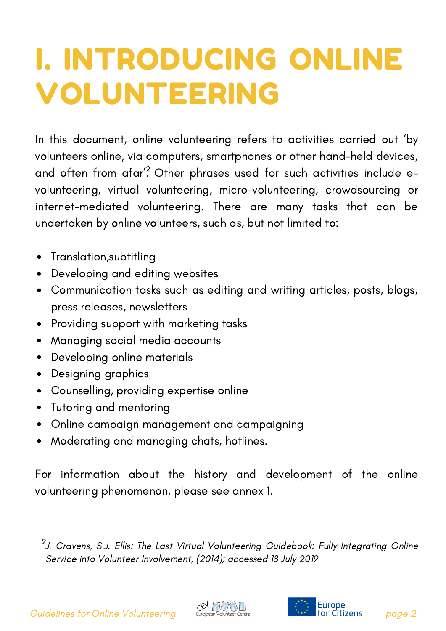### I. INTRODUCING ONLINE VOLUNTEERING

In this document, online volunteering refers to activities carried out 'by volunteers online, via computers, smartphones or other hand-held devices, and often from afar'? Other phrases used for such activities include evolunteering, virtual volunteering, micro-volunteering, crowdsourcing or internet-mediated volunteering. There are many tasks that can be undertaken by online volunteers, such as, but not limited to:

- Translation,subtitling  $\bullet$
- Developing and editing websites  $\bullet$
- Communication tasks such as editing and writing articles, posts, blogs, press releases, newsletters
- Providing support with marketing tasks
- Managing social media accounts  $\bullet$
- Developing online materials  $\bullet$
- Designing graphics  $\bullet$
- Counselling, providing expertise online  $\bullet$
- Tutoring and mentoring  $\bullet$
- Online campaign management and campaigning
- Moderating and managing chats, hotlines.  $\bullet$

For information about the history and development of the online volunteering phenomenon, please see annex 1.

 $^2$ J. Cravens, S.J. Ellis: The Last Virtual [Volunteering](https://euregiothewadden.eu/camfer/business12zy/the-last-virtual-volunteering-guidebook-fully-integrating-online-service-into-volunteer-involvement-221.html) Guidebook: Fully Integrating Online Service into Volunteer Involvement, (2014); accessed 18 July 2019



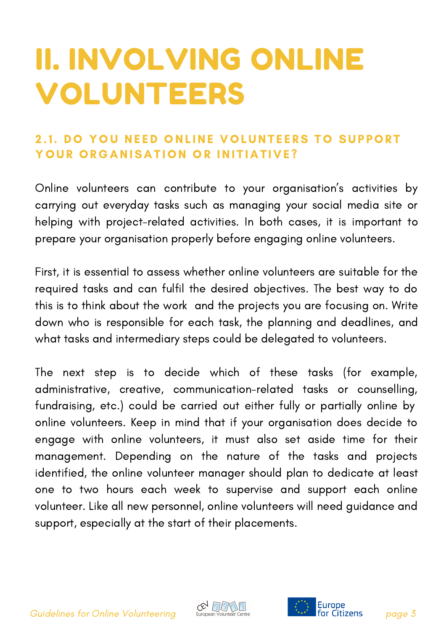### II. INVOLVING ONLINE VOLUNTEERS

#### 2.1. DO YOU NEED ONLINE VOLUNTEERS TO SUPPORT YOUR ORGANISATION OR INITIATIVE?

Online volunteers can contribute to your organisation's activities by carrying out everyday tasks such as managing your social media site or helping with project-related activities. In both cases, it is important to prepare your organisation properly before engaging online volunteers.

First, it is essential to assess whether online volunteers are suitable for the required tasks and can fulfil the desired objectives. The best way to do this is to think about the work and the projects you are focusing on. Write down who is responsible for each task, the planning and deadlines, and what tasks and intermediary steps could be delegated to volunteers.

The next step is to decide which of these tasks (for example, administrative, creative, communication-related tasks or counselling, fundraising, etc.) could be carried out either fully or partially online by online volunteers. Keep in mind that if your organisation does decide to engage with online volunteers, it must also set aside time for their management. Depending on the nature of the tasks and projects identified, the online volunteer manager should plan to dedicate at least one to two hours each week to supervise and support each online volunteer. Like all new personnel, online volunteers will need guidance and support, especially at the start of their placements.

Guidelines for Online Volunteering<br>Guidelines for Online Volunteering European Volunteer Centre **Page 1 Page 3** 



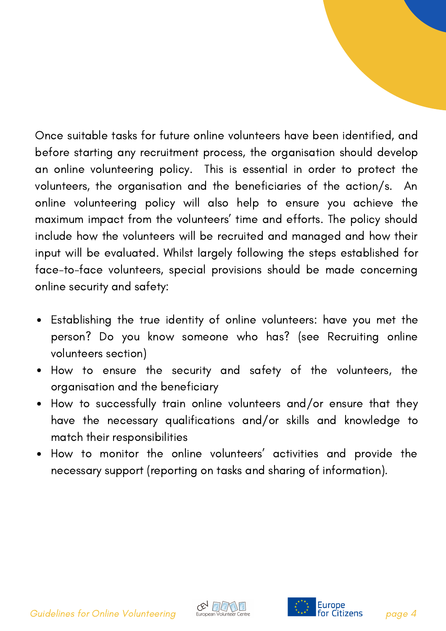Once suitable tasks for future online volunteers have been identified, and before starting any recruitment process, the organisation should develop an online volunteering policy. This is essential in order to protect the volunteers, the organisation and the beneficiaries of the action/s. An online volunteering policy will also help to ensure you achieve the maximum impact from the volunteers' time and efforts. The policy should include how the volunteers will be recruited and managed and how their input will be evaluated. Whilst largely following the steps established for face-to-face volunteers, special provisions should be made concerning online security and safety:

- Establishing the true identity of online volunteers: have you met the person? Do you know someone who has? (see Recruiting online volunteers section)
- How to ensure the security and safety of the volunteers, the organisation and the beneficiary
- How to successfully train online volunteers and/or ensure that they have the necessary qualifications and/or skills and knowledge to match their responsibilities
- How to monitor the online volunteers' activities and provide the necessary support (reporting on tasks and sharing of information).

Guidelines for Online Volunteering Buropean volunteer Centre **1.1 Europe**<br>**Guidelines for Online Volunteering** page 4



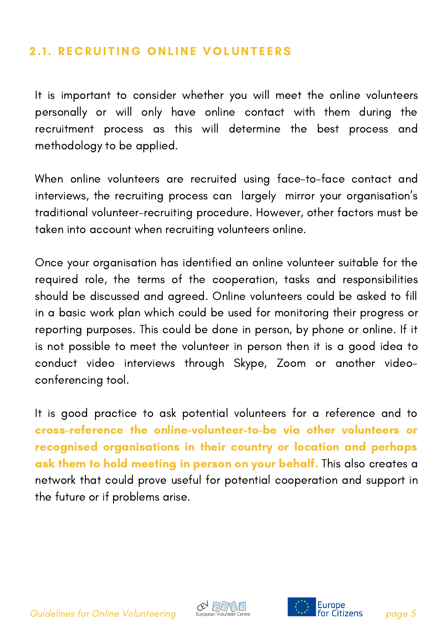#### **2.1. RECRUITING ONLINE VOLUNTEERS**

It is important to consider whether you will meet the online volunteers personally or will only have online contact with them during the recruitment process as this will determine the best process and methodology to be applied.

When online volunteers are recruited using face-to-face contact and interviews, the recruiting process can largely mirror your organisation's traditional volunteer-recruiting procedure. However, other factors must be taken into account when recruiting volunteers online.

Once your organisation has identified an online volunteer suitable for the required role, the terms of the cooperation, tasks and responsibilities should be discussed and agreed. Online volunteers could be asked to fill in a basic work plan which could be used for monitoring their progress or reporting purposes. This could be done in person, by phone or online. If it is not possible to meet the volunteer in person then it is a good idea to conduct video interviews through Skype, Zoom or another videoconferencing tool.

It is good practice to ask potential volunteers for a reference and to cross-reference the online-volunteer-to-be via other volunteers or recognised organisations in their country or location and perhaps ask them to hold meeting in person on your behalf. This also creates a network that could prove useful for potential cooperation and support in the future or if problems arise.

Guidelines for Online Volunteering European Volunteer Centre **First For Citizens** page 5



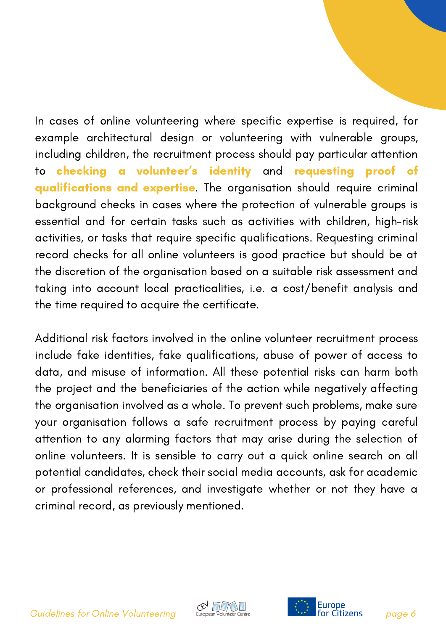In cases of online volunteering where specific expertise is required, for example architectural design or volunteering with vulnerable groups, including children, the recruitment process should pay particular attention to <mark>checking a volunteer's identity</mark> and <mark>requesting proof of</mark> qualifications and expertise. The organisation should require criminal background checks in cases where the protection of vulnerable groups is essential and for certain tasks such as activities with children, high-risk activities, or tasks that require specific qualifications. Requesting criminal record checks for all online volunteers is good practice but should be at the discretion of the organisation based on a suitable risk assessment and taking into account local practicalities, i.e. a cost/benefit analysis and the time required to acquire the certificate.

Additional risk factors involved in the online volunteer recruitment process include fake identities, fake qualifications, abuse of power of access to data, and misuse of information. All these potential risks can harm both the project and the beneficiaries of the action while negatively affecting the organisation involved as a whole. To prevent such problems, make sure your organisation follows a safe recruitment process by paying careful attention to any alarming factors that may arise during the selection of online volunteers. It is sensible to carry out a quick online search on all potential candidates, check their social media accounts, ask for academic or professional references, and investigate whether or not they have a criminal record, as previously mentioned.

Guidelines for Online Volunteering<br>Guidelines for Online Volunteering burges where entre



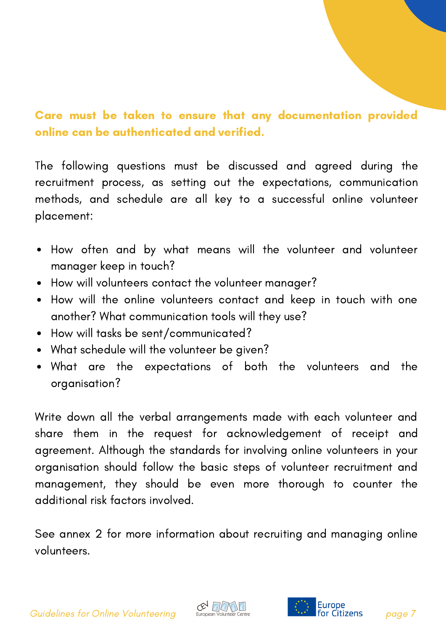#### Care must be taken to ensure that any documentation provided online can be authenticated and verified.

The following questions must be discussed and agreed during the recruitment process, as setting out the expectations, communication methods, and schedule are all key to a successful online volunteer placement:

- How often and by what means will the volunteer and volunteer manager keep in touch?
- How will volunteers contact the volunteer manager?
- How will the online volunteers contact and keep in touch with one another? What communication tools will they use?
- How will tasks be sent/communicated?
- What schedule will the volunteer be given?
- What are the expectations of both the volunteers and the organisation?

Write down all the verbal arrangements made with each volunteer and share them in the request for acknowledgement of receipt and agreement. Although the standards for involving online volunteers in your organisation should follow the basic steps of volunteer recruitment and management, they should be even more thorough to counter the additional risk factors involved.

See annex 2 for more information about recruiting and managing online volunteers.

Guidelines for Online Volunteering European Volunteer Centre **Page 1 1999** For Citizens page 7



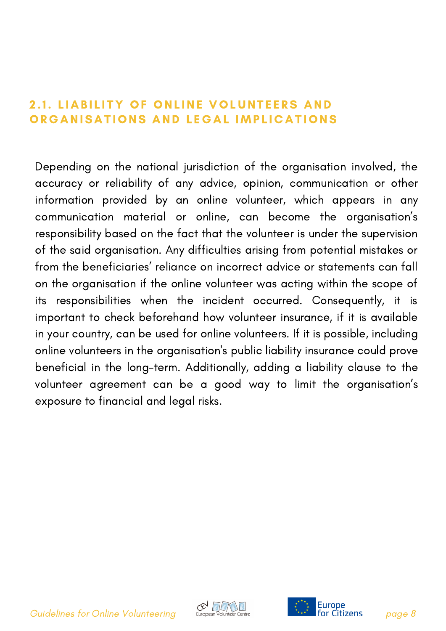#### 2.1. LIABILITY OF ONLINE VOLUNTEERS AND ORGANISATIONS AND LEGAL IMPLICATIONS

Depending on the national jurisdiction of the organisation involved, the accuracy or reliability of any advice, opinion, communication or other information provided by an online volunteer, which appears in any communication material or online, can become the organisation's responsibility based on the fact that the volunteer is under the supervision of the said organisation. Any difficulties arising from potential mistakes or from the beneficiaries' reliance on incorrect advice or statements can fall on the organisation if the online volunteer was acting within the scope of its responsibilities when the incident occurred. Consequently, it is important to check beforehand how volunteer insurance, if it is available in your country, can be used for online volunteers. If it is possible, including online volunteers in the organisation's public liability insurance could prove beneficial in the long-term. Additionally, adding a liability clause to the volunteer agreement can be a good way to limit the organisation's exposure to financial and legal risks.

Guidelines for Online Volunteering<br>Guidelines for Online Volunteering European Volunteer Centre **Page 19** Page 8



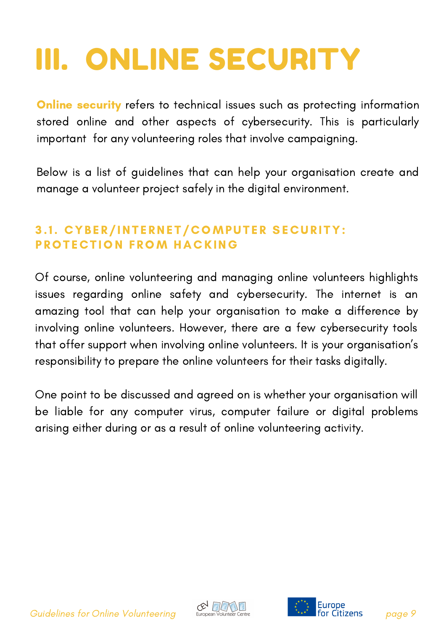# III. ONLINE SECURITY

**Online security** refers to technical issues such as protecting information stored online and other aspects of cybersecurity. This is particularly important for any volunteering roles that involve campaigning.

Below is a list of guidelines that can help your organisation create and manage a volunteer project safely in the digital environment.

#### 3.1. CYBER/INTERNET/COMPUTER SECURITY: PROTECTION FROM HACKING

Of course, online volunteering and managing online volunteers highlights issues regarding online safety and cybersecurity. The internet is an amazing tool that can help your organisation to make a difference by involving online volunteers. However, there are a few cybersecurity tools that offer support when involving online volunteers. It is your organisation's responsibility to prepare the online volunteers for their tasks digitally.

One point to be discussed and agreed on is whether your organisation will be liable for any computer virus, computer failure or digital problems arising either during or as a result of online volunteering activity.

Guidelines for Online Volunteering<br>Guidelines for Online Volunteering European Volunteer Centre **Page 19** Page 9



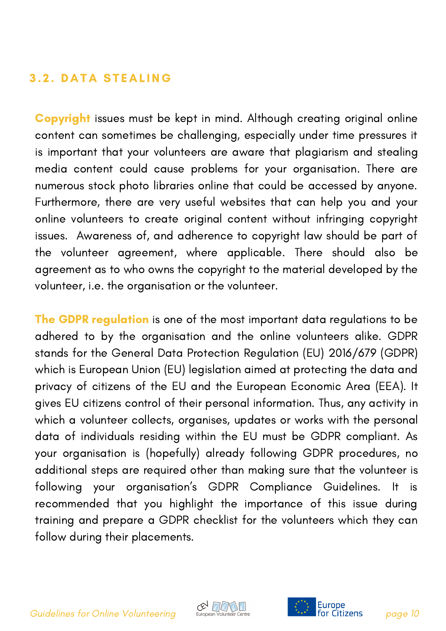#### **3.2. DATA STEALING**

Copyright issues must be kept in mind. Although creating original online content can sometimes be challenging, especially under time pressures it is important that your volunteers are aware that plagiarism and stealing media content could cause problems for your organisation. There are numerous stock photo libraries online that could be accessed by anyone. Furthermore, there are very useful websites that can help you and your online volunteers to create original content without infringing copyright issues. Awareness of, and adherence to copyright law should be part of the volunteer agreement, where applicable. There should also be agreement as to who owns the copyright to the material developed by the volunteer, i.e. the organisation or the volunteer.

The GDPR regulation is one of the most important data regulations to be adhered to by the organisation and the online volunteers alike. GDPR stands for the General Data Protection Regulation (EU) 2016/679 (GDPR) which is European Union (EU) legislation aimed at protecting the data and privacy of citizens of the EU and the European Economic Area (EEA). It gives EU citizens control of their personal information. Thus, any activity in which a volunteer collects, organises, updates or works with the personal data of individuals residing within the EU must be GDPR compliant. As your organisation is (hopefully) already following GDPR procedures, no additional steps are required other than making sure that the volunteer is following your organisation's GDPR Compliance Guidelines. It is recommended that you highlight the importance of this issue during training and prepare a GDPR checklist for the volunteers which they can follow during their placements.



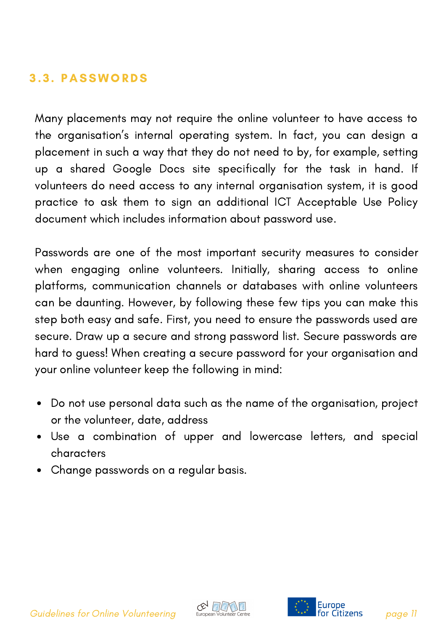#### 3 . 3 . PASSWORDS

Many placements may not require the online volunteer to have access to the organisation's internal operating system. In fact, you can design a placement in such a way that they do not need to by, for example, setting up a shared Google Docs site specifically for the task in hand. If volunteers do need access to any internal organisation system, it is good practice to ask them to sign an additional ICT Acceptable Use Policy document which includes information about password use.

Passwords are one of the most important security measures to consider when engaging online volunteers. Initially, sharing access to online platforms, communication channels or databases with online volunteers can be daunting. However, by following these few tips you can make this step both easy and safe. First, you need to ensure the passwords used are secure. Draw up a secure and strong password list. Secure passwords are hard to guess! When creating a secure password for your organisation and your online volunteer keep the following in mind:

- Do not use personal data such as the name of the organisation, project or the volunteer, date, address
- Use a combination of upper and lowercase letters, and special characters
- Change passwords on a regular basis.

Guidelines for Online Volunteering burges where the page 11 states and the cuttizens page 11



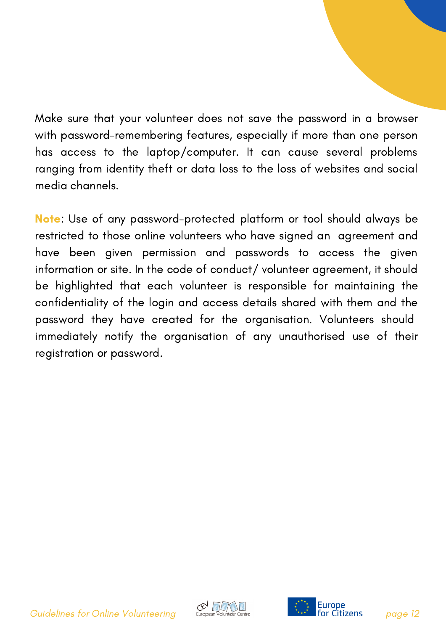Make sure that your volunteer does not save the password in a browser with password-remembering features, especially if more than one person has access to the laptop/computer. It can cause several problems ranging from identity theft or data loss to the loss of websites and social media channels.

Note: Use of any password-protected platform or tool should always be restricted to those online volunteers who have signed an agreement and have been given permission and passwords to access the given information or site. In the code of conduct/ volunteer agreement, it should be highlighted that each volunteer is responsible for maintaining the confidentiality of the login and access details shared with them and the password they have created for the organisation. Volunteers should immediately notify the organisation of any unauthorised use of their registration or password.

Guidelines for Online Volunteering burges of the state of the state of the state of the Suidelines of the Volunteering page 12



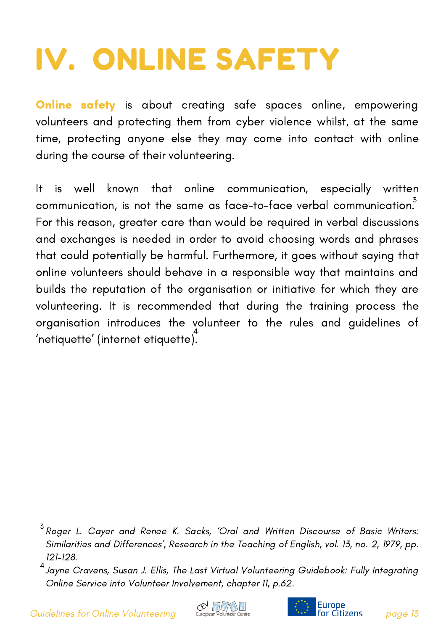# IV. ONLINE SAFETY

**Online safety** is about creating safe spaces online, empowering volunteers and protecting them from cyber violence whilst, at the same time, protecting anyone else they may come into contact with online during the course of their volunteering.

It is well known that online communication, especially written communication, is not the same as face-to-face verbal communication. $\vec{\textbf{3}}$ For this reason, greater care than would be required in verbal discussions and exchanges is needed in order to avoid choosing words and phrases that could potentially be harmful. Furthermore, it goes without saying that online volunteers should behave in a responsible way that maintains and builds the reputation of the organisation or initiative for which they are volunteering. It is recommended that during the training process the organisation introduces the volunteer to the rules and guidelines of  $\check{\phantom{\phi}}$ netiquette $\check{\phantom{\phi}}$  (internet etiquette).





 $^3$  Roger L. Cayer and Renee K. Sacks, 'Oral and Written Discourse of Basic Writers: Similarities and Differences', Research in the Teaching of English, vol. 13, no. 2, 1979, pp. 121–128.

 $^4$ Jayne Cravens, Susan J. Ellis, The Last Virtual [Volunteering](https://euregiothewadden.eu/camfer/business12zy/the-last-virtual-volunteering-guidebook-fully-integrating-online-service-into-volunteer-involvement-221.html) Guidebook: Fully Integrating Online Service into Volunteer Involvement, chapter 11, p.62.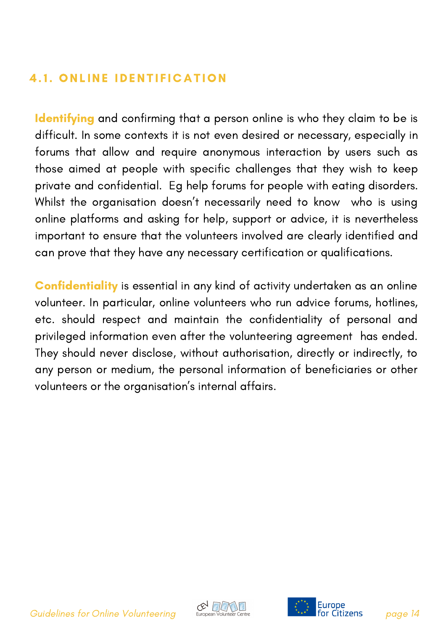#### **4.1. ONLINE IDENTIFICATION**

Identifying and confirming that a person online is who they claim to be is difficult. In some contexts it is not even desired or necessary, especially in forums that allow and require anonymous interaction by users such as those aimed at people with specific challenges that they wish to keep private and confidential. Eg help forums for people with eating disorders. Whilst the organisation doesn't necessarily need to know who is using online platforms and asking for help, support or advice, it is nevertheless important to ensure that the volunteers involved are clearly identified and can prove that they have any necessary certification or qualifications.

Confidentiality is essential in any kind of activity undertaken as an online volunteer. In particular, online volunteers who run advice forums, hotlines, etc. should respect and maintain the confidentiality of personal and privileged information even after the volunteering agreement has ended. They should never disclose, without authorisation, directly or indirectly, to any person or medium, the personal information of beneficiaries or other volunteers or the organisation's internal affairs.

Guidelines for Online Volunteering  $\mathbb{C}^{\bigvee}_{\text{European Volume of } \text{Center Center}}$  Furope **Furney page 14** 



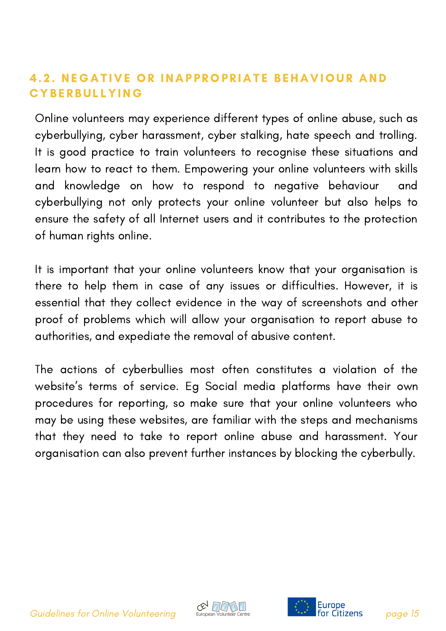#### 4.2. NEGATIVE OR INAPPROPRIATE BEHAVIOUR AND **CYBERBULLYING**

Online volunteers may experience different types of online abuse, such as cyberbullying, cyber harassment, cyber stalking, hate speech and trolling. It is good practice to train volunteers to recognise these situations and learn how to react to them. Empowering your online volunteers with skills and knowledge on how to respond to negative behaviour and cyberbullying not only protects your online volunteer but also helps to ensure the safety of all Internet users and it contributes to the protection of human rights online.

It is important that your online volunteers know that your organisation is there to help them in case of any issues or difficulties. However, it is essential that they collect evidence in the way of screenshots and other proof of problems which will allow your organisation to report abuse to authorities, and expediate the removal of abusive content.

The actions of cyberbullies most often constitutes a violation of the website's terms of service. Eg Social media platforms have their own procedures for reporting, so make sure that your online volunteers who may be using these websites, are familiar with the steps and mechanisms that they need to take to report online abuse and harassment. Your organisation can also prevent further instances by blocking the cyberbully.

Guidelines for Online Volunteering burges of the state of the state of the Suidelines for Online Volunteering



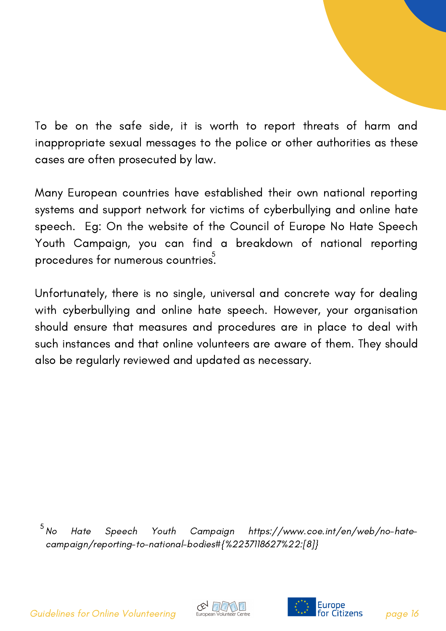To be on the safe side, it is worth to report threats of harm and inappropriate sexual messages to the police or other authorities as these cases are often prosecuted by law.

Many European countries have established their own national reporting systems and support network for victims of cyberbullying and online hate speech. Eg: On the website of the Council of Europe No Hate Speech Youth Campaign, you can find a breakdown of national reporting procedures for numerous countries.  $\overline{\phantom{a}^5}$ 

Unfortunately, there is no single, universal and concrete way for dealing with cyberbullying and online hate speech. However, your organisation should ensure that measures and procedures are in place to deal with such instances and that online volunteers are aware of them. They should also be regularly reviewed and updated as necessary.

Hate Speech Youth Campaign https://www.coe.int/en/web/no-hate[campaign/reporting-to-national-bodies#{%2237118627%22:\[8\]}](https://euregiothewadden.eu/camfer/business12zy/the-last-virtual-volunteering-guidebook-fully-integrating-online-service-into-volunteer-involvement-221.html)  $5N<sub>O</sub>$ 

Guidelines for Online Volunteering European Volunteer Centre **Page 14** 19 **For Citizens** page 16



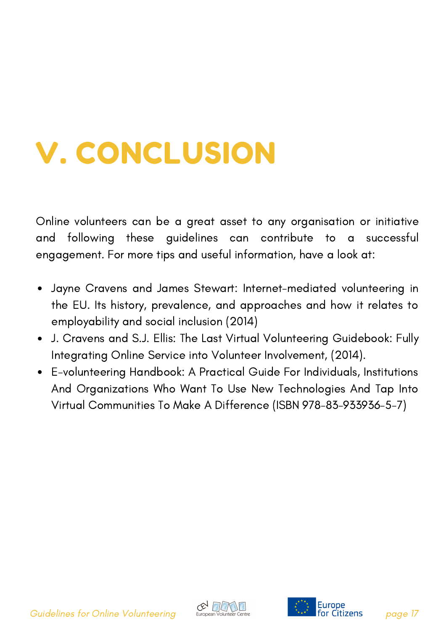### V. CONCLUSION

Online volunteers can be a great asset to any organisation or initiative and following these guidelines can contribute to a successful engagement. For more tips and useful information, have a look at:

- Jayne Cravens and James Stewart: Internet-mediated volunteering in the EU. Its history, prevalence, and approaches and how it relates to employability and social inclusion (2014)
- J. Cravens and S.J. Ellis: The Last Virtual Volunteering Guidebook: Fully Integrating Online Service into Volunteer Involvement, (2014).
- E-volunteering Handbook: A Practical Guide For Individuals, Institutions And Organizations Who Want To Use New Technologies And Tap Into Virtual Communities To Make A Difference (ISBN 978-83-933936-5-7)

Guidelines for Online Volunteering<br>
Guidelines for Online Volunteering European Volunteer Centre **Page 17** 



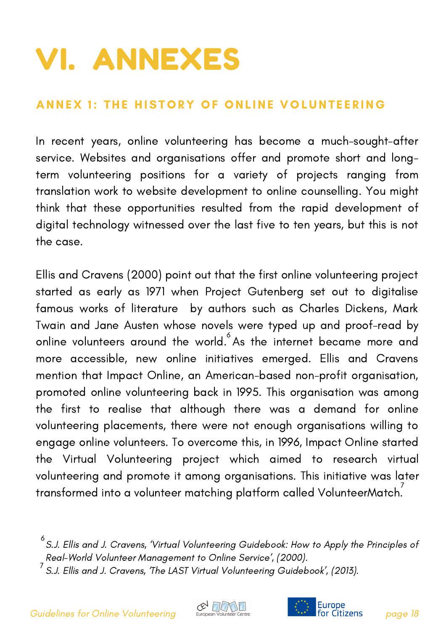### VI. ANNEXES

#### ANNEX 1: THE HISTORY OF ONLINE VOLUNTEERING

In recent years, online volunteering has become a much-sought-after service. Websites and organisations offer and promote short and longterm volunteering positions for a variety of projects ranging from translation work to website development to online counselling. You might think that these opportunities resulted from the rapid development of digital technology witnessed over the last five to ten years, but this is not the case.

Ellis and Cravens (2000) point out that the first online volunteering project started as early as 1971 when Project Gutenberg set out to digitalise famous works of literature by authors such as Charles Dickens, Mark Twain and Jane Austen whose novels were typed up and proof-read by online volunteers around the world. $\degree$  As the internet became more and more accessible, new online initiatives emerged. Ellis and Cravens mention that Impact Online, an American-based non-profit organisation, promoted online volunteering back in 1995. This organisation was among the first to realise that although there was a demand for online volunteering placements, there were not enough organisations willing to engage online volunteers. To overcome this, in 1996, Impact Online started the Virtual Volunteering project which aimed to research virtual volunteering and promote it among organisations. This initiative was later transformed into a volunteer matching platform called VolunteerMatch. 7





 $^6$ S.J. Ellis and J. Cravens, 'Virtual Volunteering Guidebook: How to Apply the Principles ot Real-World Volunteer [Management](https://euregiothewadden.eu/camfer/business12zy/the-last-virtual-volunteering-guidebook-fully-integrating-online-service-into-volunteer-involvement-221.html) to Online Service', (2000).

 $^7$  S.J. Ellis and J. Cravens, 'The LAST Virtual Volunteering Guidebook', (2013).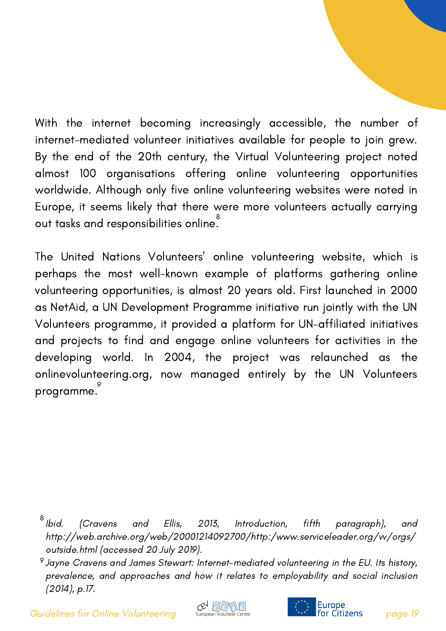With the internet becoming increasingly accessible, the number of internet-mediated volunteer initiatives available for people to join grew. By the end of the 20th century, the Virtual Volunteering project noted almost 100 organisations offering online volunteering opportunities worldwide. Although only five online volunteering websites were noted in Europe, it seems likely that there were more volunteers actually carrying out tasks and responsibilities online.<sup>8</sup>

The United Nations Volunteers' online volunteering website, which is perhaps the most well-known example of platforms gathering online volunteering opportunities, is almost 20 years old. First launched in 2000 as NetAid, a UN Development Programme initiative run jointly with the UN Volunteers programme, it provided a platform for UN-affiliated initiatives and projects to find and engage online volunteers for activities in the developing world. In 2004, the project was relaunched as the onlinevolunteering.org, now managed entirely by the UN Volunteers programme. 9

Guidelines for Online Volunteering European Volunteer Centre **Page 19** 19 **Citizens** page 19





<sup>(</sup>Cravens and Ellis, 2013, Introduction, fifth paragraph), and [http://web.archive.org/web/20001214092700/http:/www.serviceleader.org/vv/orgs/](https://euregiothewadden.eu/camfer/business12zy/the-last-virtual-volunteering-guidebook-fully-integrating-online-service-into-volunteer-involvement-221.html) outside.html (accessed 20 July 2019).  $8$  Ibid.

 $^9$  Jayne Cravens and James Stewart: Internet-mediated volunteering in the EU. Its history, prevalence, and approaches and how it relates to employability and social inclusion (2014), p.17.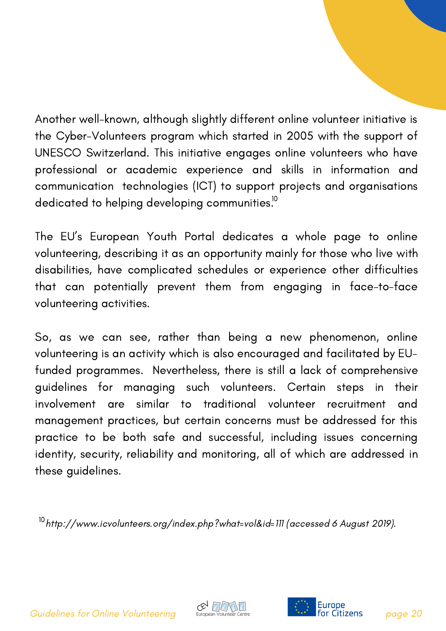Another well-known, although slightly different online volunteer initiative is the Cyber-Volunteers program which started in 2005 with the support of UNESCO Switzerland. This initiative engages online volunteers who have professional or academic experience and skills in information and communication technologies (ICT) to support projects and organisations dedicated to helping developing communities. $^{\text{10}}$ 

The EU's European Youth Portal dedicates a whole page to online volunteering, describing it as an opportunity mainly for those who live with disabilities, have complicated schedules or experience other difficulties that can potentially prevent them from engaging in face-to-face volunteering activities.

So, as we can see, rather than being a new phenomenon, online volunteering is an activity which is also encouraged and facilitated by EUfunded programmes. Nevertheless, there is still a lack of comprehensive guidelines for managing such volunteers. Certain steps in their involvement are similar to traditional volunteer recruitment and management practices, but certain concerns must be addressed for this practice to be both safe and successful, including issues concerning identity, security, reliability and monitoring, all of which are addressed in these guidelines.

 $^{10}$ [http://www.icvolunteers.org/index.php?what=vol&id=111](https://euregiothewadden.eu/camfer/business12zy/the-last-virtual-volunteering-guidebook-fully-integrating-online-service-into-volunteer-involvement-221.html) (accessed 6 August 2019).

Guidelines for Online Volunteering European Volunteer Centre **Page 10** 1997 **For Citizens** page 20



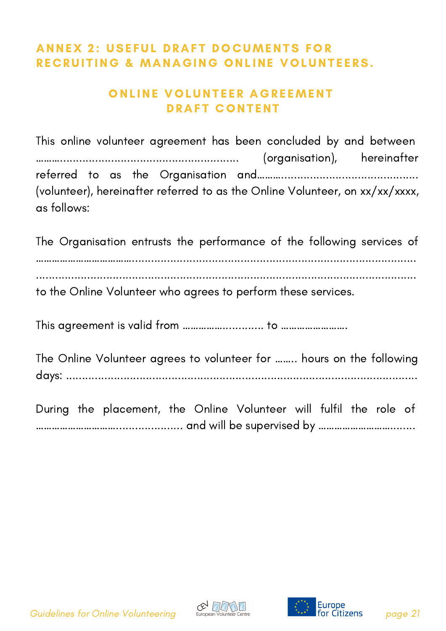#### **ANNEX 2: USEFUL DRAFT DOCUMENTS FOR** RECRUITING & MANAGING ONLINE VOLUNTEERS.

#### ONLINE VOLUNTEER AGREEMENT DRAFT CONTENT

This online volunteer agreement has been concluded by and between ………........................................................ (organisation), hereinafter referred to as the Organisation and………........................................... (volunteer), hereinafter referred to as the Online Volunteer, on xx/xx/xxxx, as follows:

The Organisation entrusts the performance of the following services of ………………………………......................................................................................... ....................................................................................................................... to the Online Volunteer who agrees to perform these services.

This agreement is valid from ……………............. to …………………….

The Online Volunteer agrees to volunteer for …….. hours on the following days: ..............................................................................................................

During the placement, the Online Volunteer will fulfil the role of …………………………..................... and will be supervised by ………………………........





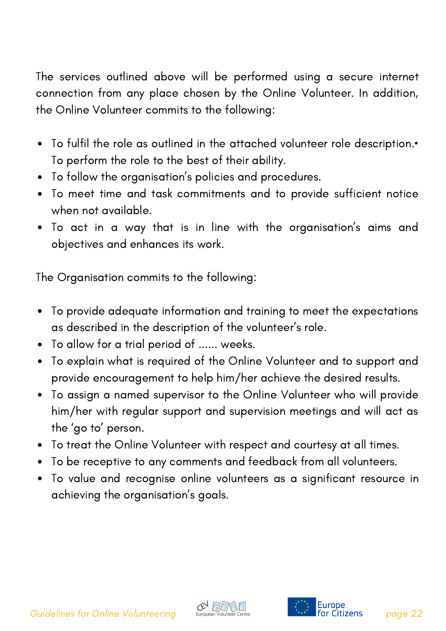The services outlined above will be performed using a secure internet connection from any place chosen by the Online Volunteer. In addition, the Online Volunteer commits to the following:

- To fulfil the role as outlined in the attached volunteer role description.• To perform the role to the best of their ability.
- To follow the organisation's policies and procedures.
- To meet time and task commitments and to provide sufficient notice when not available.
- To act in a way that is in line with the organisation's aims and objectives and enhances its work.

The Organisation commits to the following:

- To provide adequate information and training to meet the expectations  $\bullet$ as described in the description of the volunteer's role.
- To allow for a trial period of ...... weeks.
- To explain what is required of the Online Volunteer and to support and provide encouragement to help him/her achieve the desired results.
- To assign a named supervisor to the Online Volunteer who will provide him/her with regular support and supervision meetings and will act as the 'go to' person.
- To treat the Online Volunteer with respect and courtesy at all times.
- To be receptive to any comments and feedback from all volunteers.
- To value and recognise online volunteers as a significant resource in achieving the organisation's goals.



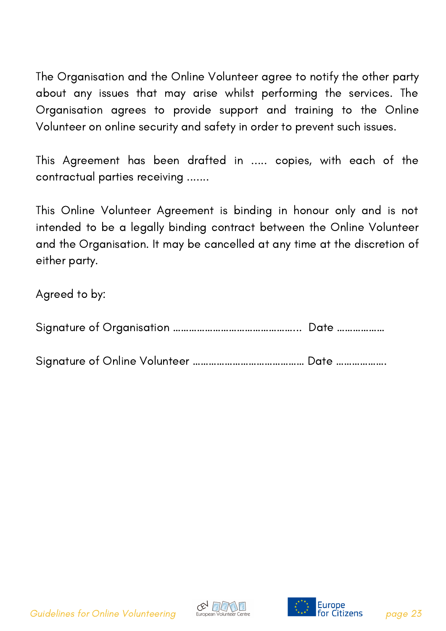The Organisation and the Online Volunteer agree to notify the other party about any issues that may arise whilst performing the services. The Organisation agrees to provide support and training to the Online Volunteer on online security and safety in order to prevent such issues.

This Agreement has been drafted in ..... copies, with each of the contractual parties receiving .......

This Online Volunteer Agreement is binding in honour only and is not intended to be a legally binding contract between the Online Volunteer and the Organisation. It may be cancelled at any time at the discretion of either party.

Agreed to by:

Signature of Online Volunteer …………………………………… Date ……………….

Guidelines for Online Volunteering European Volunteer Centre **Page 19the Citizens** page 23



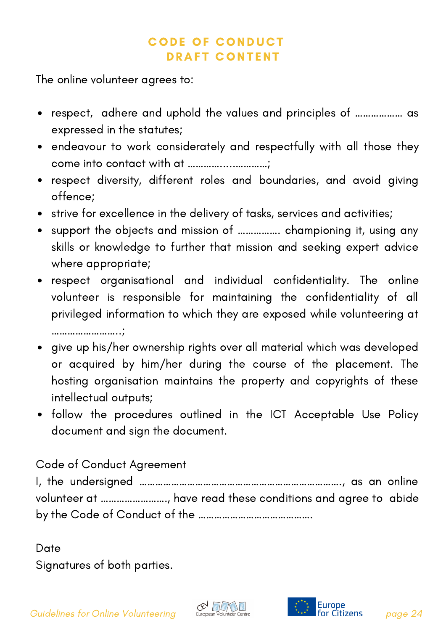#### **CODE OF CONDUCT** DRAFT CONTENT

The online volunteer agrees to:

- respect, adhere and uphold the values and principles of ……………… as expressed in the statutes;
- endeavour to work considerately and respectfully with all those they come into contact with at ………….....…………;
- respect diversity, different roles and boundaries, and avoid giving offence;
- strive for excellence in the delivery of tasks, services and activities;
- support the objects and mission of ……………. championing it, using any skills or knowledge to further that mission and seeking expert advice where appropriate;
- respect organisational and individual confidentiality. The online volunteer is responsible for maintaining the confidentiality of all privileged information to which they are exposed while volunteering at ……………………..;
- give up his/her ownership rights over all material which was developed or acquired by him/her during the course of the placement. The hosting organisation maintains the property and copyrights of these intellectual outputs;
- follow the procedures outlined in the ICT Acceptable Use Policy document and sign the document.

#### Code of Conduct Agreement

I, the undersigned …………………………………………………………………., as an online volunteer at ……………………., have read these conditions and agree to abide by the Code of Conduct of the …………………………………….

Date Signatures of both parties.

Guidelines for Online Volunteering European Volunteer Centre **Page 14** 160 Fertil**e Citizens** page 24



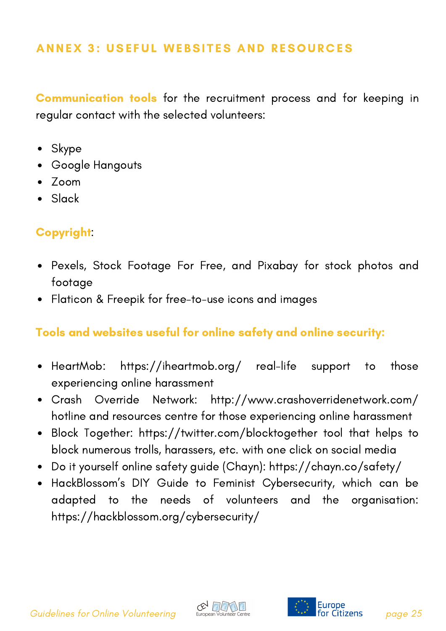#### ANNEX 3: USEFUL WEBSITES AND RESOURCES

Communication tools for the recruitment process and for keeping in regular contact with the selected volunteers:

- Skype
- Google Hangouts
- Zoom
- Slack

#### Copyright:

- Pexels, Stock Footage For Free, and Pixabay for stock photos and footage
- Flaticon & Freepik for free-to-use icons and images

#### Tools and websites useful for online safety and online security:

- HeartMob: https://iheartmob.org/ real-life support to those  $\bullet$ experiencing online harassment
- Crash Override Network: http://www.crashoverridenetwork.com/  $\bullet$ hotline and resources centre for those experiencing online harassment
- Block Together: https://twitter.com/blocktogether tool that helps to  $\bullet$ block numerous trolls, harassers, etc. with one click on social media
- Do it yourself online safety guide (Chayn): https://chayn.co/safety/
- HackBlossom's DIY Guide to Feminist Cybersecurity, which can be adapted to the needs of volunteers and the organisation: [https://hackblossom.org/cybersecurity/](https://iheartmob.org/)